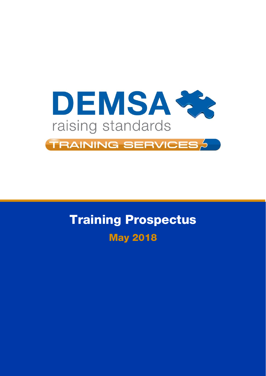

# Training Prospectus May 2018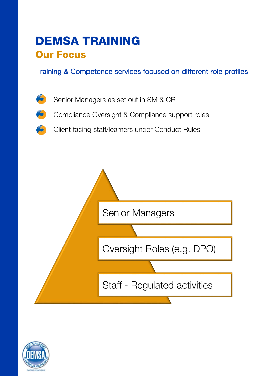### DEMSA TRAINING Our Focus

Training & Competence services focused on different role profiles





Client facing staff/learners under Conduct Rules



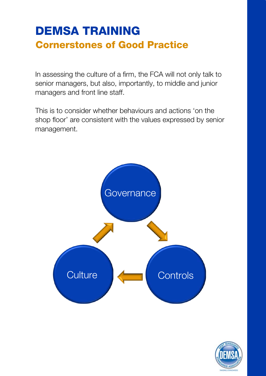### DEMSA TRAINING Cornerstones of Good Practice

In assessing the culture of a firm, the FCA will not only talk to senior managers, but also, importantly, to middle and junior managers and front line staff.

This is to consider whether behaviours and actions 'on the shop floor' are consistent with the values expressed by senior management.



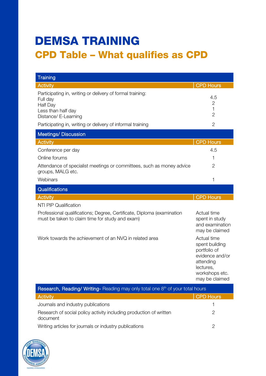### DEMSA TRAINING CPD Table – What qualifies as CPD

| <b>Training</b>                                                                                                                 |                                                                                                                                |  |
|---------------------------------------------------------------------------------------------------------------------------------|--------------------------------------------------------------------------------------------------------------------------------|--|
| <b>Activity</b>                                                                                                                 | <b>CPD Hours</b>                                                                                                               |  |
| Participating in, writing or delivery of formal training:<br>Full day<br>Half Day<br>Less than half day<br>Distance/ E-Learning | 4.5<br>$\mathbf{2}$<br>1<br>$\overline{2}$                                                                                     |  |
| Participating in, writing or delivery of informal training                                                                      | $\overline{2}$                                                                                                                 |  |
| <b>Meetings/Discussion</b>                                                                                                      |                                                                                                                                |  |
| <b>Activity</b>                                                                                                                 | <b>CPD Hours</b>                                                                                                               |  |
| Conference per day                                                                                                              | 4.5                                                                                                                            |  |
| Online forums                                                                                                                   | 1                                                                                                                              |  |
| Attendance of specialist meetings or committees, such as money advice<br>groups, MALG etc.                                      | $\overline{2}$                                                                                                                 |  |
| Webinars                                                                                                                        | 1                                                                                                                              |  |
| Qualifications                                                                                                                  |                                                                                                                                |  |
| <b>Activity</b>                                                                                                                 | <b>CPD Hours</b>                                                                                                               |  |
| <b>NTI PIP Qualification</b>                                                                                                    |                                                                                                                                |  |
| Professional qualifications; Degree, Certificate, Diploma (examination<br>must be taken to claim time for study and exam)       | Actual time<br>spent in study<br>and examination<br>may be claimed                                                             |  |
| Work towards the achievement of an NVQ in related area                                                                          | Actual time<br>spent building<br>portfolio of<br>evidence and/or<br>attending<br>lectures,<br>workshops etc.<br>may be claimed |  |
| Research, Reading/ Writing-Reading may only total one 8 <sup>th</sup> of your total hours                                       |                                                                                                                                |  |

| <b>Research, Reading/ Writing-</b> Reading may only total one $8th$ of your total hours |           |
|-----------------------------------------------------------------------------------------|-----------|
| Activity                                                                                | CPD Hours |
| Journals and industry publications                                                      |           |
| Research of social policy activity including production of written<br>document          |           |
| Writing articles for journals or industry publications                                  |           |

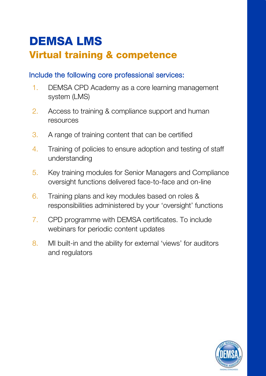# DEMSA LMS Virtual training & competence

#### Include the following core professional services:

- 1. DEMSA CPD Academy as a core learning management system (LMS)
- 2. Access to training & compliance support and human resources
- 3. A range of training content that can be certified
- 4. Training of policies to ensure adoption and testing of staff understanding
- 5. Key training modules for Senior Managers and Compliance oversight functions delivered face-to-face and on-line
- 6. Training plans and key modules based on roles & responsibilities administered by your 'oversight' functions
- 7. CPD programme with DEMSA certificates. To include webinars for periodic content updates
- 8. MI built-in and the ability for external 'views' for auditors and regulators

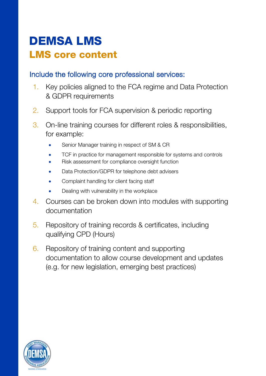### DEMSA LMS LMS core content

#### Include the following core professional services:

- 1. Key policies aligned to the FCA regime and Data Protection & GDPR requirements
- 2. Support tools for FCA supervision & periodic reporting
- 3. On-line training courses for different roles & responsibilities, for example:
	- Senior Manager training in respect of SM & CR
	- TCF in practice for management responsible for systems and controls
	- Risk assessment for compliance oversight function
	- Data Protection/GDPR for telephone debt advisers
	- Complaint handling for client facing staff
	- Dealing with vulnerability in the workplace
- 4. Courses can be broken down into modules with supporting documentation
- 5. Repository of training records & certificates, including qualifying CPD (Hours)
- 6. Repository of training content and supporting documentation to allow course development and updates (e.g. for new legislation, emerging best practices)

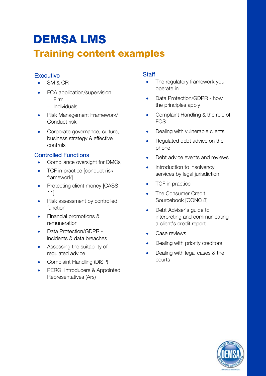### DEMSA LMS Training content examples

#### **Executive**

- SM & CR
- FCA application/supervision − Firm
	- − Individuals
- Risk Management Framework/ Conduct risk
- Corporate governance, culture, business strategy & effective controls

#### Controlled Functions

- Compliance oversight for DMCs
- TCF in practice [conduct risk framework]
- Protecting client money [CASS 11]
- Risk assessment by controlled function
- Financial promotions & remuneration
- Data Protection/GDPR incidents & data breaches
- Assessing the suitability of regulated advice
- Complaint Handling (DISP)
- PERG, Introducers & Appointed Representatives (Ars)

#### **Staff**

- The regulatory framework you operate in
- Data Protection/GDPR how the principles apply
- Complaint Handling & the role of FOS
- Dealing with vulnerable clients
- Regulated debt advice on the phone
- Debt advice events and reviews
- Introduction to insolvency services by legal jurisdiction
- TCF in practice
- The Consumer Credit Sourcebook [CONC 8]
- Debt Adviser's quide to interpreting and communicating a client's credit report
- Case reviews
- Dealing with priority creditors
- Dealing with legal cases & the courts

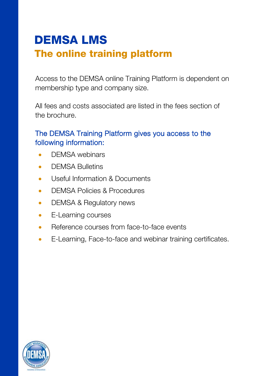### DEMSA LMS The online training platform

Access to the DEMSA online Training Platform is dependent on membership type and company size.

All fees and costs associated are listed in the fees section of the brochure.

#### The DEMSA Training Platform gives you access to the following information:

- DEMSA webinars
- **DEMSA Bulletins**
- Useful Information & Documents
- **DEMSA Policies & Procedures**
- DEMSA & Regulatory news
- E-Learning courses
- Reference courses from face-to-face events
- E-Learning, Face-to-face and webinar training certificates.

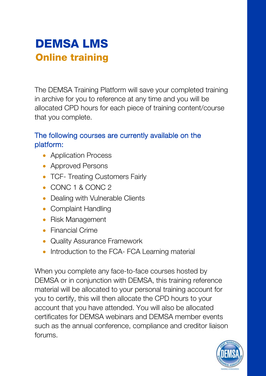

The DEMSA Training Platform will save your completed training in archive for you to reference at any time and you will be allocated CPD hours for each piece of training content/course that you complete.

#### The following courses are currently available on the platform:

- Application Process
- Approved Persons
- TCF- Treating Customers Fairly
- CONC 1 & CONC 2
- Dealing with Vulnerable Clients
- Complaint Handling
- Risk Management
- Financial Crime
- Quality Assurance Framework
- Introduction to the FCA- FCA Learning material

When you complete any face-to-face courses hosted by DEMSA or in conjunction with DEMSA, this training reference material will be allocated to your personal training account for you to certify, this will then allocate the CPD hours to your account that you have attended. You will also be allocated certificates for DEMSA webinars and DEMSA member events such as the annual conference, compliance and creditor liaison forums.

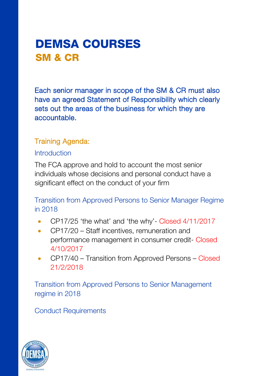### DEMSA COURSES SM & CR

Each senior manager in scope of the SM & CR must also have an agreed Statement of Responsibility which clearly sets out the areas of the business for which they are accountable.

#### Training Agenda:

#### **Introduction**

The FCA approve and hold to account the most senior individuals whose decisions and personal conduct have a significant effect on the conduct of your firm

Transition from Approved Persons to Senior Manager Regime in 2018

- CP17/25 'the what' and 'the why'- Closed 4/11/2017
- CP17/20 Staff incentives, remuneration and performance management in consumer credit- Closed 4/10/2017
- CP17/40 Transition from Approved Persons Closed 21/2/2018

Transition from Approved Persons to Senior Management regime in 2018

Conduct Requirements

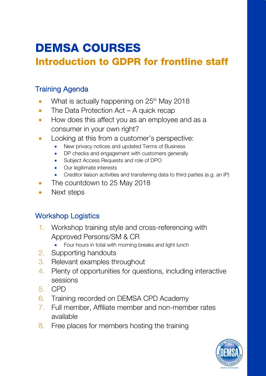# DEMSA COURSES

### Introduction to GDPR for frontline staff

#### Training Agenda

- What is actually happening on 25<sup>th</sup> May 2018
- The Data Protection Act A quick recap
- How does this affect you as an employee and as a consumer in your own right?
- Looking at this from a customer's perspective:
	- New privacy notices and updated Terms of Business
	- DP checks and engagement with customers generally
	- Subject Access Requests and role of DPO
	- Our legitimate interests
	- Creditor liaison activities and transferring data to third parties (e.g. an IP)
- The countdown to 25 May 2018
- Next steps

#### Workshop Logistics

- 1. Workshop training style and cross-referencing with Approved Persons/SM & CR
	- Four hours in total with morning breaks and light lunch
- 2. Supporting handouts
- 3. Relevant examples throughout
- 4. Plenty of opportunities for questions, including interactive sessions
- 5. CPD
- 6. Training recorded on DEMSA CPD Academy
- 7. Full member, Affiliate member and non-member rates available
- 8. Free places for members hosting the training

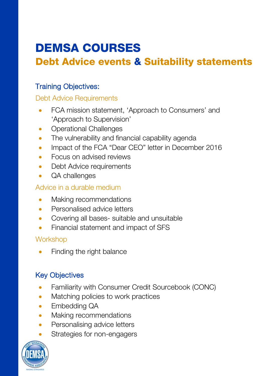# DEMSA COURSES

### Debt Advice events & Suitability statements

#### Training Objectives:

#### Debt Advice Requirements

- FCA mission statement, 'Approach to Consumers' and 'Approach to Supervision'
- **Operational Challenges**
- The vulnerability and financial capability agenda
- Impact of the FCA "Dear CEO" letter in December 2016
- Focus on advised reviews
- Debt Advice requirements
- QA challenges

#### Advice in a durable medium

- Making recommendations
- Personalised advice letters
- Covering all bases- suitable and unsuitable
- Financial statement and impact of SFS

#### **Workshop**

• Finding the right balance

#### Key Objectives

- Familiarity with Consumer Credit Sourcebook (CONC)
- Matching policies to work practices
- Embedding QA
- Making recommendations
- Personalising advice letters
- Strategies for non-engagers

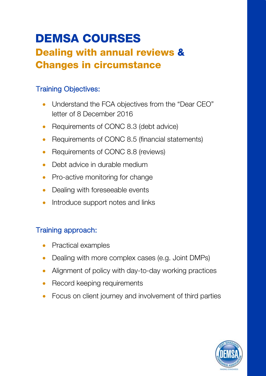### DEMSA COURSES Dealing with annual reviews & Changes in circumstance

#### Training Objectives:

- Understand the FCA objectives from the "Dear CEO" letter of 8 December 2016
- Requirements of CONC 8.3 (debt advice)
- Requirements of CONC 8.5 (financial statements)
- Requirements of CONC 8.8 (reviews)
- Debt advice in durable medium
- Pro-active monitoring for change
- Dealing with foreseeable events
- Introduce support notes and links

#### Training approach:

- Practical examples
- Dealing with more complex cases (e.g. Joint DMPs)
- Alignment of policy with day-to-day working practices
- Record keeping requirements
- Focus on client journey and involvement of third parties

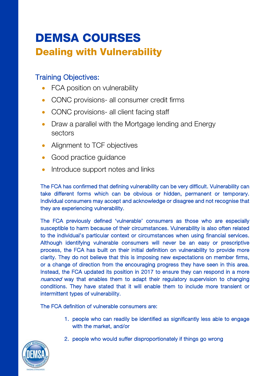### DEMSA COURSES Dealing with Vulnerability

#### Training Objectives:

- FCA position on vulnerability
- CONC provisions- all consumer credit firms
- CONC provisions- all client facing staff
- Draw a parallel with the Mortgage lending and Energy sectors
- Alignment to TCF objectives
- Good practice guidance
- Introduce support notes and links

The FCA has confirmed that defining vulnerability can be very difficult. Vulnerability can take different forms which can be obvious or hidden, permanent or temporary. Individual consumers may accept and acknowledge or disagree and not recognise that they are experiencing vulnerability.

The FCA previously defined 'vulnerable' consumers as those who are especially susceptible to harm because of their circumstances. Vulnerability is also often related to the individual's particular context or circumstances when using financial services. Although identifying vulnerable consumers will never be an easy or prescriptive process, the FCA has built on their initial definition on vulnerability to provide more clarity. They do not believe that this is imposing new expectations on member firms, or a change of direction from the encouraging progress they have seen in this area. Instead, the FCA updated its position in 2017 to ensure they can respond in a more nuanced way that enables them to adapt their regulatory supervision to changing conditions. They have stated that it will enable them to include more transient or intermittent types of vulnerability.

The FCA definition of vulnerable consumers are:

- 1. people who can readily be identified as significantly less able to engage with the market, and/or
- 2. people who would suffer disproportionately if things go wrong

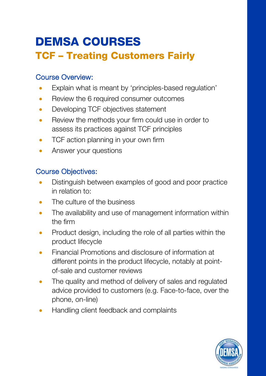### DEMSA COURSES TCF – Treating Customers Fairly

#### Course Overview:

- Explain what is meant by 'principles-based regulation'
- Review the 6 required consumer outcomes
- Developing TCF objectives statement
- Review the methods your firm could use in order to assess its practices against TCF principles
- TCF action planning in your own firm
- Answer your questions

#### Course Objectives:

- Distinguish between examples of good and poor practice in relation to:
- The culture of the business
- The availability and use of management information within the firm
- Product design, including the role of all parties within the product lifecycle
- Financial Promotions and disclosure of information at different points in the product lifecycle, notably at pointof-sale and customer reviews
- The quality and method of delivery of sales and regulated advice provided to customers (e.g. Face-to-face, over the phone, on-line)
- Handling client feedback and complaints

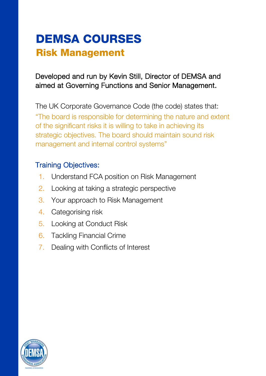### DEMSA COURSES Risk Management

#### Developed and run by Kevin Still, Director of DEMSA and aimed at Governing Functions and Senior Management.

The UK Corporate Governance Code (the code) states that: "The board is responsible for determining the nature and extent of the significant risks it is willing to take in achieving its strategic objectives. The board should maintain sound risk management and internal control systems"

#### Training Objectives:

- 1. Understand FCA position on Risk Management
- 2. Looking at taking a strategic perspective
- 3. Your approach to Risk Management
- 4. Categorising risk
- 5. Looking at Conduct Risk
- 6. Tackling Financial Crime
- 7. Dealing with Conflicts of Interest

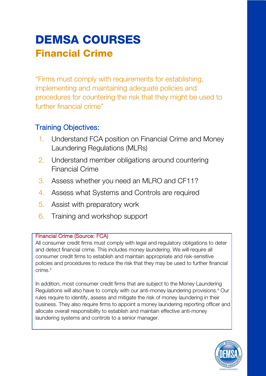### DEMSA COURSES Financial Crime

"Firms must comply with requirements for establishing, implementing and maintaining adequate policies and procedures for countering the risk that they might be used to further financial crime"

#### Training Objectives:

- 1. Understand FCA position on Financial Crime and Money Laundering Regulations (MLRs)
- 2. Understand member obligations around countering Financial Crime
- 3. Assess whether you need an MLRO and CF11?
- 4. Assess what Systems and Controls are required
- 5. Assist with preparatory work
- 6. Training and workshop support

#### Financial Crime (Source: FCA)

All consumer credit firms must comply with legal and regulatory obligations to deter and detect financial crime. This includes money laundering. We will require all consumer credit firms to establish and maintain appropriate and risk-sensitive policies and procedures to reduce the risk that they may be used to further financial  $crime<sup>3</sup>$ 

In addition, most consumer credit firms that are subject to the Money Laundering Regulations will also have to comply with our anti-money laundering provisions.<sup>4</sup> Our rules require to identify, assess and mitigate the risk of money laundering in their business. They also require firms to appoint a money laundering reporting officer and allocate overall responsibility to establish and maintain effective anti-money laundering systems and controls to a senior manager.

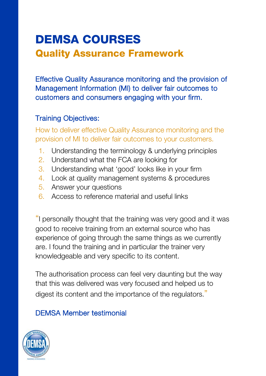### DEMSA COURSES Quality Assurance Framework

Effective Quality Assurance monitoring and the provision of Management Information (MI) to deliver fair outcomes to customers and consumers engaging with your firm.

#### Training Objectives:

How to deliver effective Quality Assurance monitoring and the provision of MI to deliver fair outcomes to your customers.

- 1. Understanding the terminology & underlying principles
- 2. Understand what the FCA are looking for
- 3. Understanding what 'good' looks like in your firm
- 4. Look at quality management systems & procedures
- 5. Answer your questions
- 6. Access to reference material and useful links

"I personally thought that the training was very good and it was good to receive training from an external source who has experience of going through the same things as we currently are. I found the training and in particular the trainer very knowledgeable and very specific to its content.

The authorisation process can feel very daunting but the way that this was delivered was very focused and helped us to digest its content and the importance of the regulators."

#### DEMSA Member testimonial

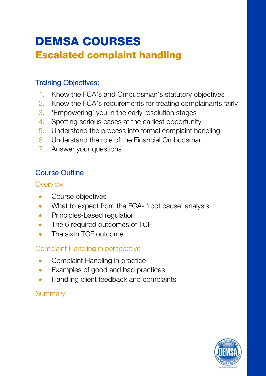### DEMSA COURSES Escalated complaint handling

#### Training Objectives:

- 1. Know the FCA's and Ombudsman's statutory objectives
- 2. Know the FCA's requirements for treating complainants fairly
- 3. 'Empowering' you in the early resolution stages
- 4. Spotting serious cases at the earliest opportunity
- 5. Understand the process into formal complaint handling
- 6. Understand the role of the Financial Ombudsman
- 7. Answer your questions

#### Course Outline

#### **Overview**

- Course objectives
- What to expect from the FCA- 'root cause' analysis
- Principles-based requlation
- The 6 required outcomes of TCF
- The sixth TCF outcome

#### Complaint Handling in perspective

- Complaint Handling in practice
- Examples of good and bad practices
- Handling client feedback and complaints

#### **Summary**

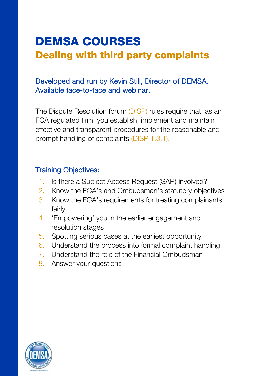# DEMSA COURSES Dealing with third party complaints

#### Developed and run by Kevin Still, Director of DEMSA. Available face-to-face and webinar.

The Dispute Resolution forum (DISP) rules require that, as an FCA regulated firm, you establish, implement and maintain effective and transparent procedures for the reasonable and prompt handling of complaints (DISP 1.3.1).

#### Training Objectives:

- 1. Is there a Subject Access Request (SAR) involved?
- 2. Know the FCA's and Ombudsman's statutory objectives
- 3. Know the FCA's requirements for treating complainants fairly
- 4. 'Empowering' you in the earlier engagement and resolution stages
- 5. Spotting serious cases at the earliest opportunity
- 6. Understand the process into formal complaint handling
- 7. Understand the role of the Financial Ombudsman
- 8. Answer your questions

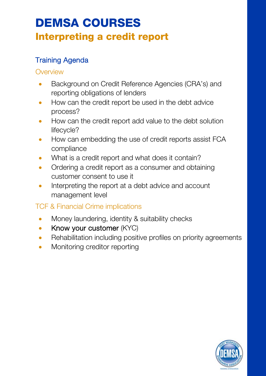# DEMSA COURSES

### Interpreting a credit report

#### Training Agenda

#### **Overview**

- Background on Credit Reference Agencies (CRA's) and reporting obligations of lenders
- How can the credit report be used in the debt advice process?
- How can the credit report add value to the debt solution lifecycle?
- How can embedding the use of credit reports assist FCA compliance
- What is a credit report and what does it contain?
- Ordering a credit report as a consumer and obtaining customer consent to use it
- Interpreting the report at a debt advice and account management level

#### TCF & Financial Crime implications

- Money laundering, identity & suitability checks
- Know your customer (KYC)
- Rehabilitation including positive profiles on priority agreements
- Monitoring creditor reporting